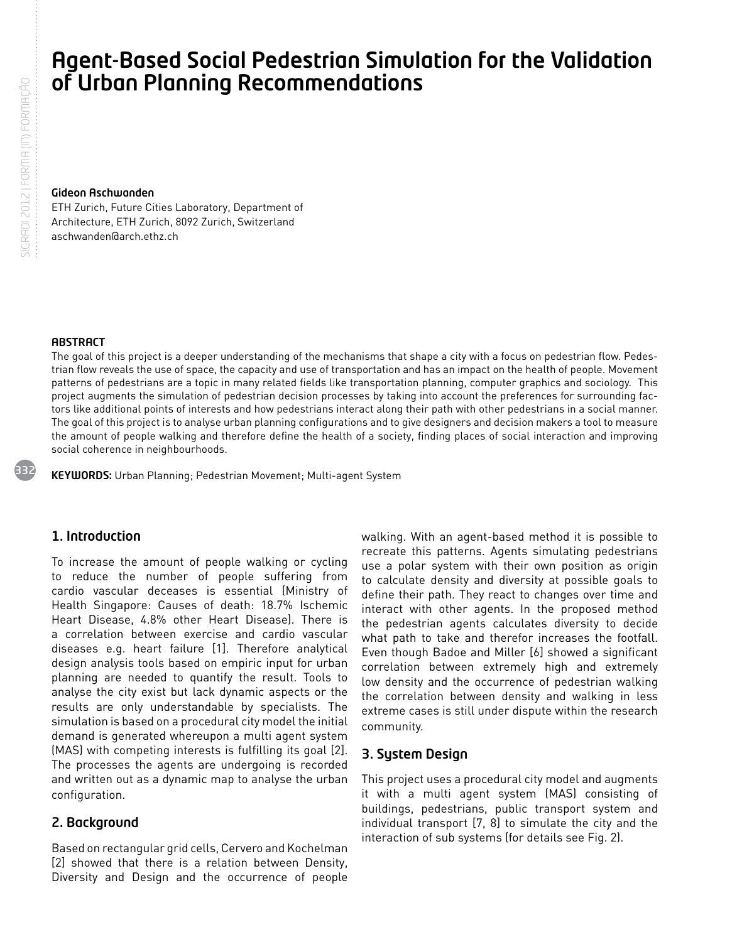# Agent-Based Social Pedestrian Simulation for the Validation of Urban Planning Recommendations

#### Gideon Aschwanden

ETH Zurich, Future Cities Laboratory, Department of Architecture, ETH Zurich, 8092 Zurich, Switzerland aschwanden@arch.ethz.ch

#### **ABSTRACT**

The goal of this project is a deeper understanding of the mechanisms that shape a city with a focus on pedestrian flow. Pedestrian flow reveals the use of space, the capacity and use of transportation and has an impact on the health of people. Movement patterns of pedestrians are a topic in many related fields like transportation planning, computer graphics and sociology. This project augments the simulation of pedestrian decision processes by taking into account the preferences for surrounding factors like additional points of interests and how pedestrians interact along their path with other pedestrians in a social manner. The goal of this project is to analyse urban planning configurations and to give designers and decision makers a tool to measure the amount of people walking and therefore define the health of a society, finding places of social interaction and improving social coherence in neighbourhoods.

KEYWORDS: Urban Planning; Pedestrian Movement; Multi-agent System

## 1. Introduction

To increase the amount of people walking or cycling to reduce the number of people suffering from cardio vascular deceases is essential (Ministry of Health Singapore: Causes of death: 18.7% Ischemic Heart Disease, 4.8% other Heart Disease). There is a correlation between exercise and cardio vascular diseases e.g. heart failure [1]. Therefore analytical design analysis tools based on empiric input for urban planning are needed to quantify the result. Tools to analyse the city exist but lack dynamic aspects or the results are only understandable by specialists. The simulation is based on a procedural city model the initial demand is generated whereupon a multi agent system (MAS) with competing interests is fulfilling its goal [2]. The processes the agents are undergoing is recorded and written out as a dynamic map to analyse the urban configuration.

## 2. Background

Based on rectangular grid cells, Cervero and Kochelman [2] showed that there is a relation between Density, Diversity and Design and the occurrence of people walking. With an agent-based method it is possible to recreate this patterns. Agents simulating pedestrians use a polar system with their own position as origin to calculate density and diversity at possible goals to define their path. They react to changes over time and interact with other agents. In the proposed method the pedestrian agents calculates diversity to decide what path to take and therefor increases the footfall. Even though Badoe and Miller [6] showed a significant correlation between extremely high and extremely low density and the occurrence of pedestrian walking the correlation between density and walking in less extreme cases is still under dispute within the research community.

## 3. System Design

This project uses a procedural city model and augments it with a multi agent system (MAS) consisting of buildings, pedestrians, public transport system and individual transport [7, 8] to simulate the city and the interaction of sub systems (for details see Fig. 2).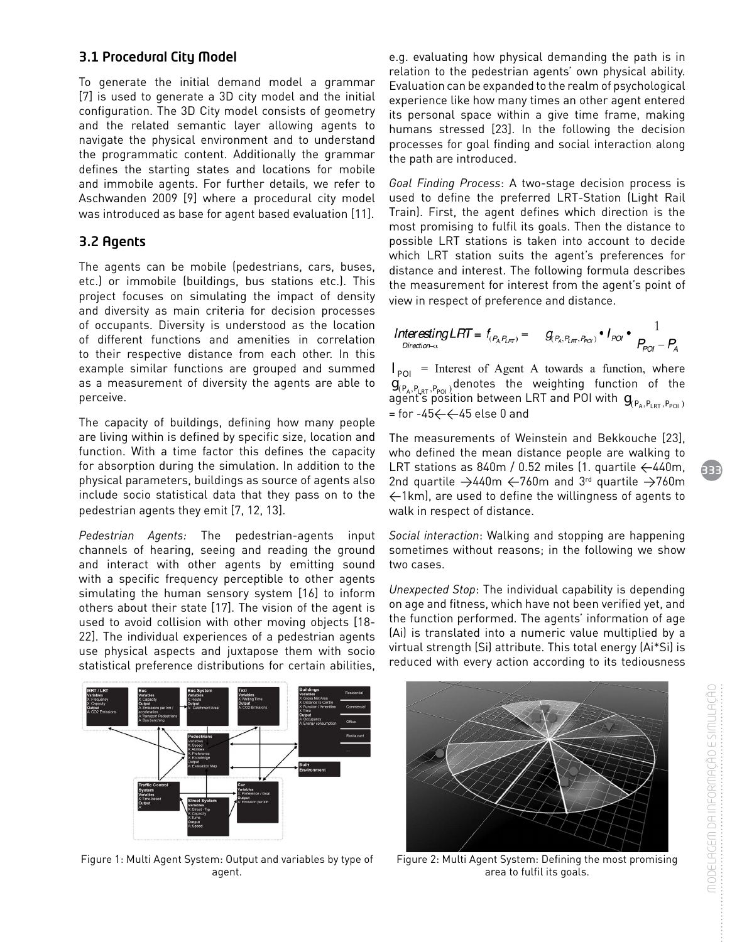# 3.1 Procedural City Model

To generate the initial demand model a grammar [7] is used to generate a 3D city model and the initial configuration. The 3D City model consists of geometry and the related semantic layer allowing agents to navigate the physical environment and to understand the programmatic content. Additionally the grammar defines the starting states and locations for mobile and immobile agents. For further details, we refer to Aschwanden 2009 [9] where a procedural city model was introduced as base for agent based evaluation [11].

## 3.2 Agents

The agents can be mobile (pedestrians, cars, buses, etc.) or immobile (buildings, bus stations etc.). This project focuses on simulating the impact of density and diversity as main criteria for decision processes of occupants. Diversity is understood as the location of different functions and amenities in correlation to their respective distance from each other. In this example similar functions are grouped and summed as a measurement of diversity the agents are able to perceive.

The capacity of buildings, defining how many people are living within is defined by specific size, location and function. With a time factor this defines the capacity for absorption during the simulation. In addition to the physical parameters, buildings as source of agents also include socio statistical data that they pass on to the pedestrian agents they emit [7, 12, 13].

*Pedestrian Agents:* The pedestrian-agents input channels of hearing, seeing and reading the ground and interact with other agents by emitting sound with a specific frequency perceptible to other agents simulating the human sensory system [16] to inform others about their state [17]. The vision of the agent is used to avoid collision with other moving objects [18- 22]. The individual experiences of a pedestrian agents use physical aspects and juxtapose them with socio statistical preference distributions for certain abilities,



Figure 1: Multi Agent System: Output and variables by type of agent.

e.g. evaluating how physical demanding the path is in relation to the pedestrian agents' own physical ability. Evaluation can be expanded to the realm of psychological experience like how many times an other agent entered its personal space within a give time frame, making humans stressed [23]. In the following the decision processes for goal finding and social interaction along the path are introduced.

*Goal Finding Process*: A two-stage decision process is used to define the preferred LRT-Station (Light Rail Train). First, the agent defines which direction is the most promising to fulfil its goals. Then the distance to possible LRT stations is taken into account to decide which LRT station suits the agent's preferences for distance and interest. The following formula describes the measurement for interest from the agent's point of view in respect of preference and distance.

$$
InterestingLRT = f_{(P_A, P_{LRT})} = g_{(P_A, P_{LRT}, P_{PO})} \cdot I_{PO} \cdot \frac{1}{P_{PO} - P_A}
$$

 $I_{POL}$  = Interest of Agent A towards a function, where  $g_{(P_A, P_{LRT}, P_{POI})}$  denotes the weighting function of the  $\mathcal{A}_{\text{P}}$  agent's position between LRT and POI with  $\mathbf{g}_{(P_A, P_{\text{R}}, P_{\text{POL}})}$  $=$  for  $-45 \leftarrow 45$  else 0 and

The measurements of Weinstein and Bekkouche [23], who defined the mean distance people are walking to LRT stations as 840m / 0.52 miles (1. quartile  $\leftarrow$  440m, 2nd quartile  $\rightarrow$  440m  $\leftarrow$  760m and 3<sup>rd</sup> quartile  $\rightarrow$  760m <1km), are used to define the willingness of agents to walk in respect of distance.

*Social interaction*: Walking and stopping are happening sometimes without reasons; in the following we show two cases.

*Unexpected Stop*: The individual capability is depending on age and fitness, which have not been verified yet, and the function performed. The agents' information of age (Ai) is translated into a numeric value multiplied by a virtual strength (Si) attribute. This total energy (Ai\*Si) is reduced with every action according to its tediousness



Figure 2: Multi Agent System: Defining the most promising area to fulfil its goals.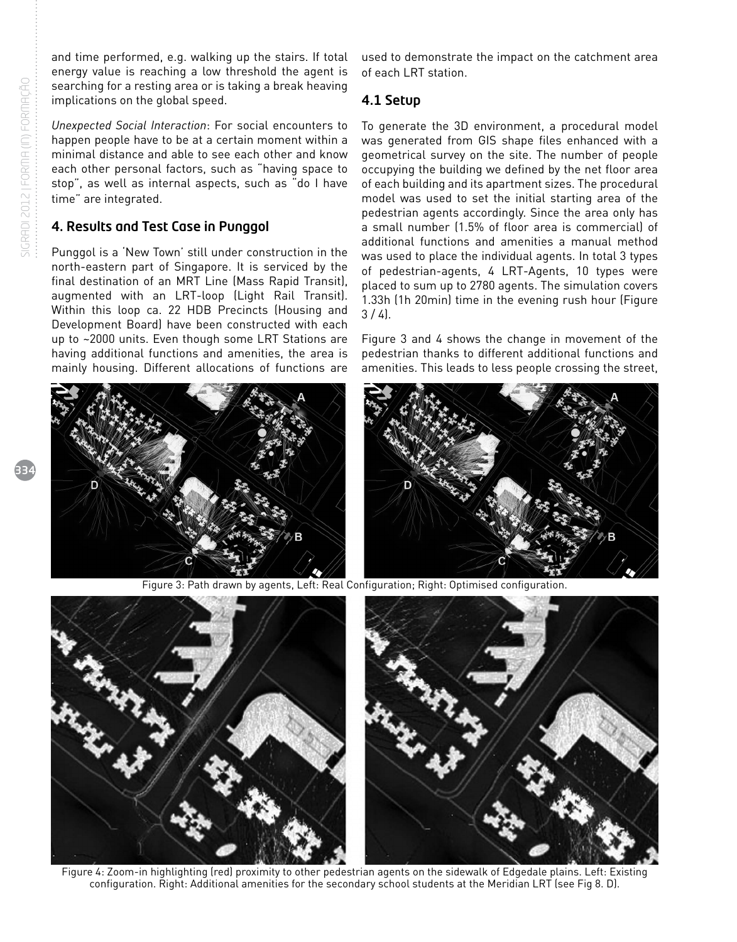and time performed, e.g. walking up the stairs. If total energy value is reaching a low threshold the agent is searching for a resting area or is taking a break heaving implications on the global speed.

*Unexpected Social Interaction*: For social encounters to happen people have to be at a certain moment within a minimal distance and able to see each other and know each other personal factors, such as "having space to stop", as well as internal aspects, such as "do I have time" are integrated.

## 4. Results and Test Case in Punggol

Punggol is a 'New Town' still under construction in the north-eastern part of Singapore. It is serviced by the final destination of an MRT Line (Mass Rapid Transit), augmented with an LRT-loop (Light Rail Transit). Within this loop ca. 22 HDB Precincts (Housing and Development Board) have been constructed with each up to ~2000 units. Even though some LRT Stations are having additional functions and amenities, the area is mainly housing. Different allocations of functions are

used to demonstrate the impact on the catchment area of each LRT station.

#### 4.1 Setup

To generate the 3D environment, a procedural model was generated from GIS shape files enhanced with a geometrical survey on the site. The number of people occupying the building we defined by the net floor area of each building and its apartment sizes. The procedural model was used to set the initial starting area of the pedestrian agents accordingly. Since the area only has a small number (1.5% of floor area is commercial) of additional functions and amenities a manual method was used to place the individual agents. In total 3 types of pedestrian-agents, 4 LRT-Agents, 10 types were placed to sum up to 2780 agents. The simulation covers 1.33h (1h 20min) time in the evening rush hour (Figure  $3 / 4$ .

Figure 3 and 4 shows the change in movement of the pedestrian thanks to different additional functions and amenities. This leads to less people crossing the street,

Figure 3: Path drawn by agents, Left: Real Configuration; Right: Optimised configuration.





Figure 4: Zoom-in highlighting (red) proximity to other pedestrian agents on the sidewalk of Edgedale plains. Left: Existing configuration. Right: Additional amenities for the secondary school students at the Meridian LRT (see Fig 8. D).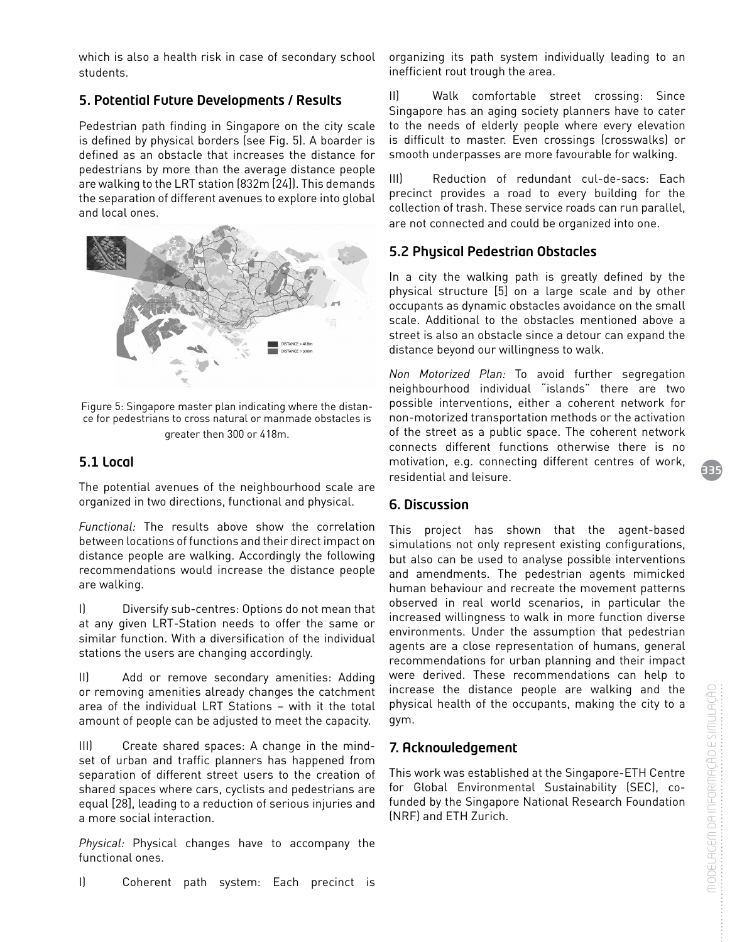which is also a health risk in case of secondary school students.

# 5. Potential Future Developments / Results

Pedestrian path finding in Singapore on the city scale is defined by physical borders (see Fig. 5). A boarder is defined as an obstacle that increases the distance for pedestrians by more than the average distance people are walking to the LRT station (832m [24]). This demands the separation of different avenues to explore into global and local ones.



Figure 5: Singapore master plan indicating where the distance for pedestrians to cross natural or manmade obstacles is greater then 300 or 418m.

# 5.1 Local

The potential avenues of the neighbourhood scale are organized in two directions, functional and physical.

*Functional:* The results above show the correlation between locations of functions and their direct impact on distance people are walking. Accordingly the following recommendations would increase the distance people are walking.

I) Diversify sub-centres: Options do not mean that at any given LRT-Station needs to offer the same or similar function. With a diversification of the individual stations the users are changing accordingly.

II) Add or remove secondary amenities: Adding or removing amenities already changes the catchment area of the individual LRT Stations – with it the total amount of people can be adjusted to meet the capacity.

III) Create shared spaces: A change in the mindset of urban and traffic planners has happened from separation of different street users to the creation of shared spaces where cars, cyclists and pedestrians are equal [28], leading to a reduction of serious injuries and a more social interaction.

*Physical:* Physical changes have to accompany the functional ones.

organizing its path system individually leading to an inefficient rout trough the area.

II) Walk comfortable street crossing: Since Singapore has an aging society planners have to cater to the needs of elderly people where every elevation is difficult to master. Even crossings (crosswalks) or smooth underpasses are more favourable for walking.

III) Reduction of redundant cul-de-sacs: Each precinct provides a road to every building for the collection of trash. These service roads can run parallel, are not connected and could be organized into one.

# 5.2 Physical Pedestrian Obstacles

In a city the walking path is greatly defined by the physical structure [5] on a large scale and by other occupants as dynamic obstacles avoidance on the small scale. Additional to the obstacles mentioned above a street is also an obstacle since a detour can expand the distance beyond our willingness to walk.

*Non Motorized Plan:* To avoid further segregation neighbourhood individual "islands" there are two possible interventions, either a coherent network for non-motorized transportation methods or the activation of the street as a public space. The coherent network connects different functions otherwise there is no motivation, e.g. connecting different centres of work, residential and leisure.

## 6. Discussion

This project has shown that the agent-based simulations not only represent existing configurations, but also can be used to analyse possible interventions and amendments. The pedestrian agents mimicked human behaviour and recreate the movement patterns observed in real world scenarios, in particular the increased willingness to walk in more function diverse environments. Under the assumption that pedestrian agents are a close representation of humans, general recommendations for urban planning and their impact were derived. These recommendations can help to increase the distance people are walking and the physical health of the occupants, making the city to a gym.

## 7. Acknowledgement

This work was established at the Singapore-ETH Centre for Global Environmental Sustainability (SEC), cofunded by the Singapore National Research Foundation (NRF) and ETH Zurich.

335

I) Coherent path system: Each precinct is